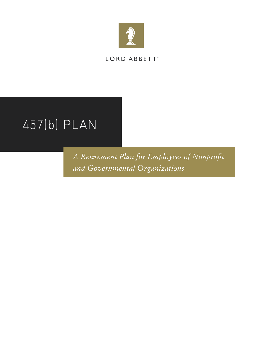

LORD ABBETT®

# 457(b) PLAN

*A Retirement Plan for Employees of Nonprofit and Governmental Organizations*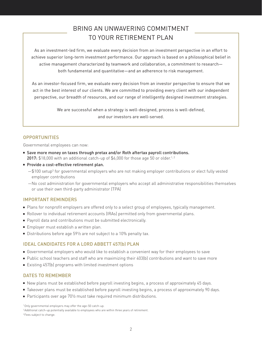# BRING AN UNWAVERING COMMITMENT TO YOUR RETIREMENT PLAN

As an investment-led firm, we evaluate every decision from an investment perspective in an effort to achieve superior long-term investment performance. Our approach is based on a philosophical belief in active management characterized by teamwork and collaboration, a commitment to research both fundamental and quantitative—and an adherence to risk management.

As an investor-focused firm, we evaluate every decision from an investor perspective to ensure that we act in the best interest of our clients. We are committed to providing every client with our independent perspective, our breadth of resources, and our range of intelligently designed investment strategies.

> We are successful when a strategy is well-designed, process is well-defined, and our investors are well-served.

# **OPPORTUNITIES**

Governmental employees can now:

- Save more money on taxes through pretax and/or Roth aftertax payroll contributions. 2017:  $$18,000$  with an additional catch-up of  $$6,000$  for those age 50 or older.<sup>1, 2</sup>
- Provide a cost-effective retirement plan.
	- $-$ \$100 setup<sup>3</sup> for governmental employers who are not making employer contributions or elect fully vested employer contributions
	- —No cost administration for governmental employers who accept all administrative responsibilities themselves or use their own third-party administrator (TPA)

# IMPORTANT REMINDERS

- Plans for nonprofit employers are offered only to a select group of employees, typically management.
- Rollover to individual retirement accounts (IRAs) permitted only from governmental plans.
- Payroll data and contributions must be submitted electronically.
- Employer must establish a written plan.
- Distributions before age 591/2 are not subject to a 10% penalty tax.

# IDEAL CANDIDATES FOR A LORD ABBETT 457(b) PLAN

- Governmental employers who would like to establish a convenient way for their employees to save
- Public school teachers and staff who are maximizing their 403(b) contributions and want to save more
- Existing 457(b) programs with limited investment options

#### DATES TO REMEMBER

- New plans must be established before payroll investing begins, a process of approximately 45 days.
- Takeover plans must be established before payroll investing begins, a process of approximately 90 days.
- Participants over age 701/2 must take required minimum distributions.

1 Only governmental employers may offer the age-50 catch-up.

<sup>2</sup> Additional catch-up potentially available to employees who are within three years of retirement.

<sup>3</sup> Fees subject to change.